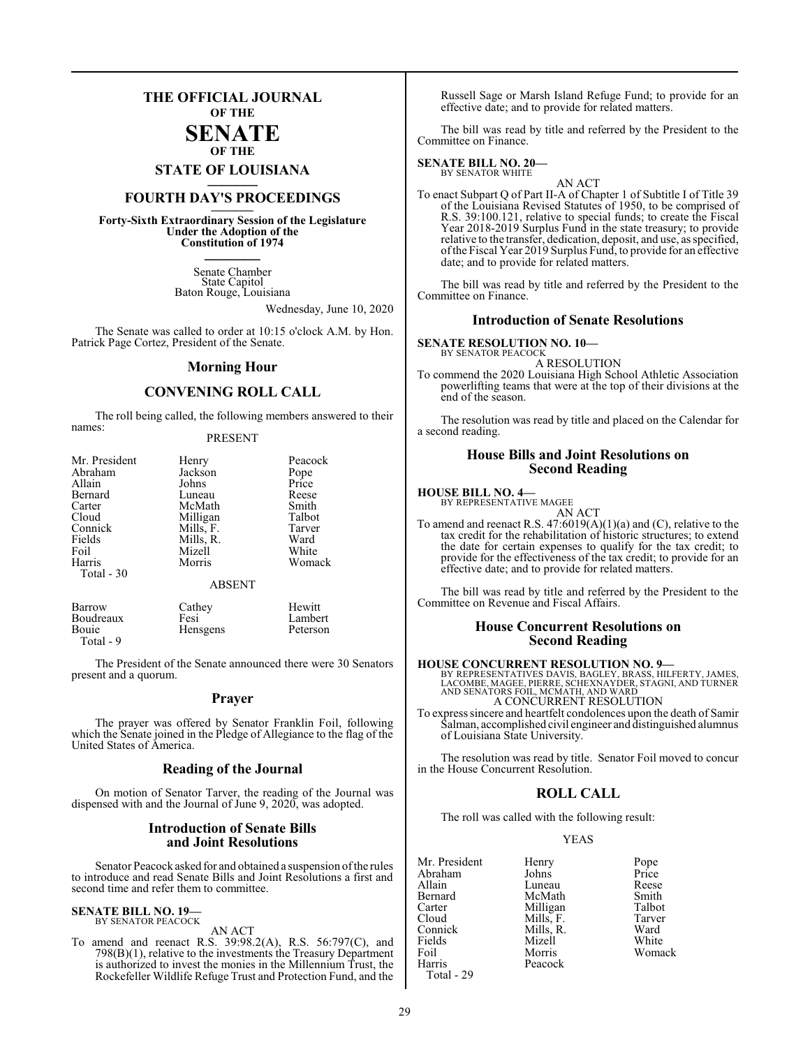## **THE OFFICIAL JOURNAL OF THE**

#### **SENATE OF THE**

**STATE OF LOUISIANA \_\_\_\_\_\_\_**

## **FOURTH DAY'S PROCEEDINGS \_\_\_\_\_\_\_**

**Forty-Sixth Extraordinary Session of the Legislature Under the Adoption of the Constitution of 1974 \_\_\_\_\_\_\_**

> Senate Chamber State Capitol Baton Rouge, Louisiana

> > Wednesday, June 10, 2020

The Senate was called to order at 10:15 o'clock A.M. by Hon. Patrick Page Cortez, President of the Senate.

#### **Morning Hour**

#### **CONVENING ROLL CALL**

The roll being called, the following members answered to their names:

#### PRESENT

| Mr. President | Henry         | Peacock |
|---------------|---------------|---------|
| Abraham       | Jackson       | Pope    |
| Allain        | Johns         | Price   |
| Bernard       | Luneau        | Reese   |
| Carter        | McMath        | Smith   |
| Cloud         | Milligan      | Talbot  |
| Connick       | Mills, F.     | Tarver  |
| Fields        | Mills, R.     | Ward    |
| Foil          | Mizell        | White   |
| Harris        | Morris        | Womack  |
| Total - 30    | <b>ABSENT</b> |         |

| Barrow    | Cathey          | Hewitt   |
|-----------|-----------------|----------|
| Boudreaux | Fesi            | Lambert  |
| Bouie     | <b>Hensgens</b> | Peterson |
| Total - 9 |                 |          |

The President of the Senate announced there were 30 Senators present and a quorum.

#### **Prayer**

The prayer was offered by Senator Franklin Foil, following which the Senate joined in the Pledge of Allegiance to the flag of the United States of America.

#### **Reading of the Journal**

On motion of Senator Tarver, the reading of the Journal was dispensed with and the Journal of June 9, 2020, was adopted.

#### **Introduction of Senate Bills and Joint Resolutions**

Senator Peacock asked for and obtained a suspension ofthe rules to introduce and read Senate Bills and Joint Resolutions a first and second time and refer them to committee.

#### **SENATE BILL NO. 19—** BY SENATOR PEACOCK

AN ACT

To amend and reenact R.S. 39:98.2(A), R.S. 56:797(C), and 798(B)(1), relative to the investments the Treasury Department is authorized to invest the monies in the Millennium Trust, the Rockefeller Wildlife Refuge Trust and Protection Fund, and the

Russell Sage or Marsh Island Refuge Fund; to provide for an effective date; and to provide for related matters.

The bill was read by title and referred by the President to the Committee on Finance.

#### **SENATE BILL NO. 20—** BY SENATOR WHITE

AN ACT To enact Subpart Q of Part II-A of Chapter 1 of Subtitle I of Title 39 of the Louisiana Revised Statutes of 1950, to be comprised of R.S. 39:100.121, relative to special funds; to create the Fiscal Year 2018-2019 Surplus Fund in the state treasury; to provide relative to the transfer, dedication, deposit, and use, as specified, ofthe Fiscal Year 2019 Surplus Fund, to provide for an effective date; and to provide for related matters.

The bill was read by title and referred by the President to the Committee on Finance.

#### **Introduction of Senate Resolutions**

#### **SENATE RESOLUTION NO. 10—** BY SENATOR PEACOCK

A RESOLUTION

To commend the 2020 Louisiana High School Athletic Association powerlifting teams that were at the top of their divisions at the end of the season.

The resolution was read by title and placed on the Calendar for a second reading.

#### **House Bills and Joint Resolutions on Second Reading**

#### **HOUSE BILL NO. 4—**

BY REPRESENTATIVE MAGEE AN ACT

To amend and reenact R.S.  $47:6019(A)(1)(a)$  and (C), relative to the tax credit for the rehabilitation of historic structures; to extend the date for certain expenses to qualify for the tax credit; to provide for the effectiveness of the tax credit; to provide for an effective date; and to provide for related matters.

The bill was read by title and referred by the President to the Committee on Revenue and Fiscal Affairs.

#### **House Concurrent Resolutions on Second Reading**

#### **HOUSE CONCURRENT RESOLUTION NO. 9—**

BY REPRESENTATIVES DAVIS, BAGLEY, BRASS, HILFERTY, JAMES,<br>LACOMBE, MAGEE, PIERRE, SCHEXNAYDER, STAGNI, AND TURNER<br>AND SENATORS FOIL, MCMATH, AND WARD A CONCURRENT RESOLUTION

To express sincere and heartfelt condolences upon the death of Samir Salman, accomplished civil engineer and distinguished alumnus of Louisiana State University.

The resolution was read by title. Senator Foil moved to concur in the House Concurrent Resolution.

### **ROLL CALL**

The roll was called with the following result:

#### YEAS

| Mr. President | Henry     | Pope   |
|---------------|-----------|--------|
| Abraham       | Johns     | Price  |
| Allain        | Luneau    | Reese  |
| Bernard       | McMath    | Smith  |
| Carter        | Milligan  | Talbot |
| Cloud         | Mills, F. | Tarver |
| Connick       | Mills, R. | Ward   |
| Fields        | Mizell    | White  |
| Foil          | Morris    | Womack |
| Harris        | Peacock   |        |
| Total - 29    |           |        |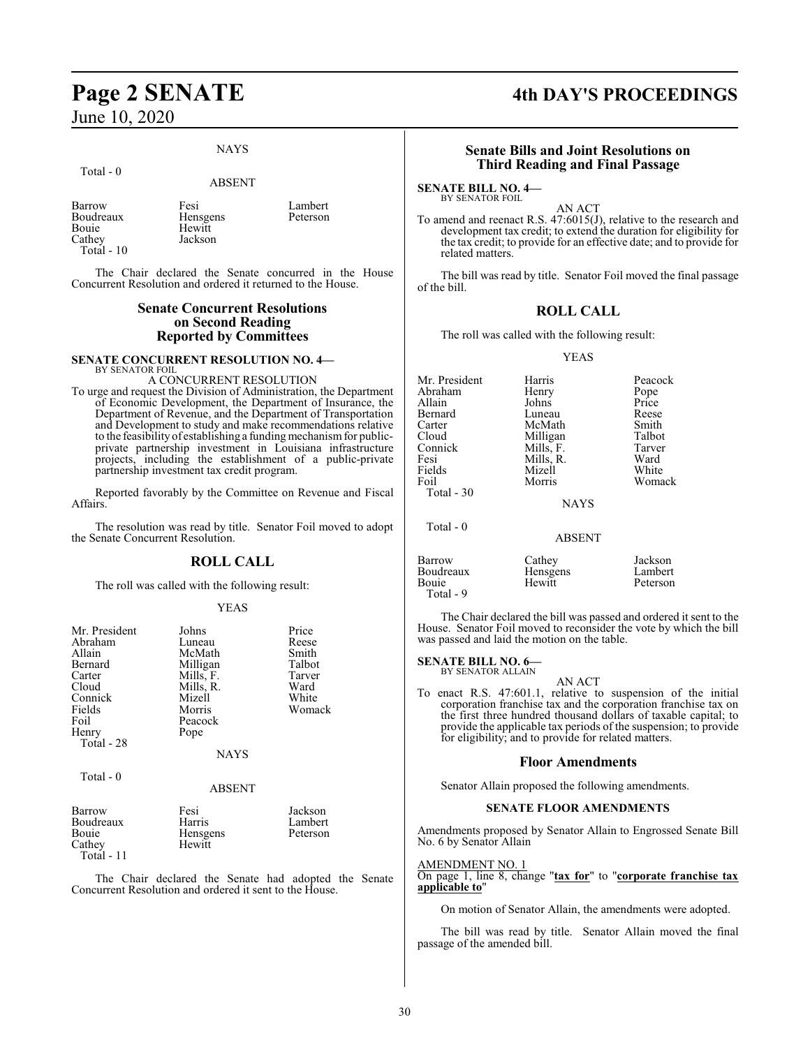#### NAYS

#### Total - 0

ABSENT

Barrow Fesi Lambert<br>Boudreaux Hensgens Peterson Bouie Hewitt<br>Cathev Jackson Cathey Total - 10

Hensgens

The Chair declared the Senate concurred in the House Concurrent Resolution and ordered it returned to the House.

#### **Senate Concurrent Resolutions on Second Reading Reported by Committees**

#### **SENATE CONCURRENT RESOLUTION NO. 4—** BY SENATOR FOIL

#### A CONCURRENT RESOLUTION

To urge and request the Division of Administration, the Department of Economic Development, the Department of Insurance, the Department of Revenue, and the Department of Transportation and Development to study and make recommendations relative to the feasibility of establishing a funding mechanism for publicprivate partnership investment in Louisiana infrastructure projects, including the establishment of a public-private partnership investment tax credit program.

Reported favorably by the Committee on Revenue and Fiscal Affairs.

The resolution was read by title. Senator Foil moved to adopt the Senate Concurrent Resolution.

#### **ROLL CALL**

The roll was called with the following result:

#### YEAS

| Mr. President | Johns         | Price    |
|---------------|---------------|----------|
| Abraham       | Luneau        | Reese    |
| Allain        | McMath        | Smith    |
| Bernard       | Milligan      | Talbot   |
| Carter        | Mills, F.     | Tarver   |
| Cloud         | Mills, R.     | Ward     |
| Connick       | Mizell        | White    |
| Fields        | Morris        | Womack   |
| Foil          | Peacock       |          |
| Henry         | Pope          |          |
| Total - 28    |               |          |
|               | <b>NAYS</b>   |          |
| Total - 0     |               |          |
|               | <b>ABSENT</b> |          |
| Barrow        | Fesi          | Jackson  |
| Boudreaux     | Harris        | Lambert  |
| Bouie         | Hensgens      | Peterson |
| Cathey        | Hewitt        |          |

Total - 11

The Chair declared the Senate had adopted the Senate Concurrent Resolution and ordered it sent to the House.

## **Page 2 SENATE 4th DAY'S PROCEEDINGS**

#### **Senate Bills and Joint Resolutions on Third Reading and Final Passage**

**SENATE BILL NO. 4—** BY SENATOR FOIL

AN ACT To amend and reenact R.S. 47:6015(J), relative to the research and development tax credit; to extend the duration for eligibility for the tax credit; to provide for an effective date; and to provide for related matters.

The bill was read by title. Senator Foil moved the final passage of the bill.

#### **ROLL CALL**

The roll was called with the following result:

#### YEAS

| Mr. President<br>Abraham<br>Allain | Harris<br>Henry<br>Johns | Peacock<br>Pope<br>Price |
|------------------------------------|--------------------------|--------------------------|
| Bernard                            | Luneau                   | Reese                    |
| Carter                             | McMath                   | Smith                    |
| Cloud                              | Milligan                 | Talbot                   |
| Connick                            | Mills, F.                | Tarver                   |
| Fesi                               | Mills, R.                | Ward                     |
| Fields                             | Mizell                   | White                    |
| Foil                               | Morris                   | Womack                   |
| Total $-30$                        |                          |                          |
|                                    | <b>NAYS</b>              |                          |
| Total $-0$                         |                          |                          |
|                                    | <b>ABSENT</b>            |                          |
| Barrow<br>Boudreaux                | Cathey<br>Hensgens       | Jackson<br>Lambert       |

Bouie Hewitt Peterson

The Chair declared the bill was passed and ordered it sent to the House. Senator Foil moved to reconsider the vote by which the bill was passed and laid the motion on the table.

**SENATE BILL NO. 6—** BY SENATOR ALLAIN

Total - 9

AN ACT

To enact R.S. 47:601.1, relative to suspension of the initial corporation franchise tax and the corporation franchise tax on the first three hundred thousand dollars of taxable capital; to provide the applicable tax periods of the suspension; to provide for eligibility; and to provide for related matters.

#### **Floor Amendments**

Senator Allain proposed the following amendments.

#### **SENATE FLOOR AMENDMENTS**

Amendments proposed by Senator Allain to Engrossed Senate Bill No. 6 by Senator Allain

#### AMENDMENT NO. 1

On page 1, line 8, change "**tax for**" to "**corporate franchise tax applicable to**"

On motion of Senator Allain, the amendments were adopted.

The bill was read by title. Senator Allain moved the final passage of the amended bill.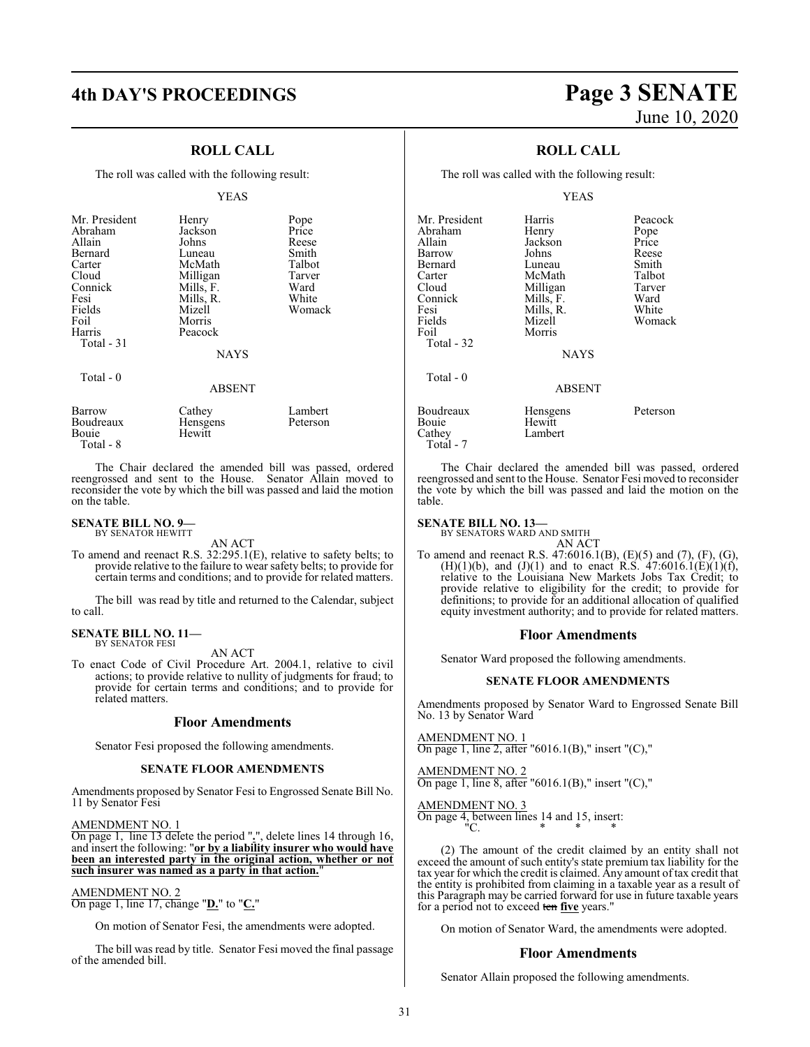## **4th DAY'S PROCEEDINGS Page 3 SENATE**

#### **ROLL CALL**

The roll was called with the following result:

#### YEAS

| Mr. President<br>Abraham<br>Allain<br>Bernard<br>Carter<br>Cloud<br>Connick<br>Fesi<br>Fields<br>Foil<br>Harris<br>Total - 31 | Henry<br>Jackson<br>Johns<br>Luneau<br>McMath<br>Milligan<br>Mills, F.<br>Mills, R.<br>Mizell<br>Morris<br>Peacock | Pope<br>Price<br>Reese<br>Smith<br>Talbot<br>Tarver<br>Ward<br>White<br>Womack |
|-------------------------------------------------------------------------------------------------------------------------------|--------------------------------------------------------------------------------------------------------------------|--------------------------------------------------------------------------------|
|                                                                                                                               | <b>NAYS</b>                                                                                                        |                                                                                |
| Total - 0                                                                                                                     | <b>ABSENT</b>                                                                                                      |                                                                                |
| $\overline{\phantom{a}}$                                                                                                      | $-1$                                                                                                               |                                                                                |

| Barrow    | Cathey          | Lambert  |
|-----------|-----------------|----------|
| Boudreaux | <b>Hensgens</b> | Peterson |
| Bouie     | Hewitt          |          |
| Total - 8 |                 |          |

The Chair declared the amended bill was passed, ordered reengrossed and sent to the House. Senator Allain moved to reconsider the vote by which the bill was passed and laid the motion on the table.

#### **SENATE BILL NO. 9—** BY SENATOR HEWITT

AN ACT

To amend and reenact R.S. 32:295.1(E), relative to safety belts; to provide relative to the failure to wear safety belts; to provide for certain terms and conditions; and to provide for related matters.

The bill was read by title and returned to the Calendar, subject to call.

#### **SENATE BILL NO. 11—** BY SENATOR FESI

AN ACT

To enact Code of Civil Procedure Art. 2004.1, relative to civil actions; to provide relative to nullity of judgments for fraud; to provide for certain terms and conditions; and to provide for related matters.

#### **Floor Amendments**

Senator Fesi proposed the following amendments.

#### **SENATE FLOOR AMENDMENTS**

Amendments proposed by Senator Fesi to Engrossed Senate Bill No. 11 by Senator Fesi

#### AMENDMENT NO. 1

On page 1, line 13 delete the period "**.**", delete lines 14 through 16, and insert the following: "**or by a liability insurer who would have been an interested party in the original action, whether or not such insurer was named as a party in that action.**"

AMENDMENT NO. 2

On page 1, line 17, change "**D.**" to "**C.**"

On motion of Senator Fesi, the amendments were adopted.

The bill was read by title. Senator Fesi moved the final passage of the amended bill.

# June 10, 2020

### **ROLL CALL**

The roll was called with the following result:

#### YEAS

| Mr. President<br>Abraham<br>Allain<br>Barrow<br>Bernard<br>Carter<br>Cloud<br>Connick<br>Fesi<br>Fields<br>Foil<br>Total - 32 | Harris<br>Henry<br>Jackson<br>Johns<br>Luneau<br>McMath<br>Milligan<br>Mills, F.<br>Mills, R.<br>Mizell<br>Morris<br><b>NAYS</b> | Peacock<br>Pope<br>Price<br>Reese<br>Smith<br>Talbot<br>Tarver<br>Ward<br>White<br>Womack |
|-------------------------------------------------------------------------------------------------------------------------------|----------------------------------------------------------------------------------------------------------------------------------|-------------------------------------------------------------------------------------------|
| Total - 0                                                                                                                     | <b>ABSENT</b>                                                                                                                    |                                                                                           |
| Boudreaux<br>Bouie<br>Cathey<br>Total - 7                                                                                     | Hensgens<br>Hewitt<br>Lambert                                                                                                    | Peterson                                                                                  |

The Chair declared the amended bill was passed, ordered reengrossed and sent to the House. Senator Fesi moved to reconsider the vote by which the bill was passed and laid the motion on the table.

#### **SENATE BILL NO. 13—**

BY SENATORS WARD AND SMITH

- AN ACT
- To amend and reenact R.S. 47:6016.1(B), (E)(5) and (7), (F), (G), (H)(1)(b), and (J)(1) and to enact R.S.  $47:6016.1(E)(1)(f)$ , relative to the Louisiana New Markets Jobs Tax Credit; to provide relative to eligibility for the credit; to provide for definitions; to provide for an additional allocation of qualified equity investment authority; and to provide for related matters.

#### **Floor Amendments**

Senator Ward proposed the following amendments.

#### **SENATE FLOOR AMENDMENTS**

Amendments proposed by Senator Ward to Engrossed Senate Bill No. 13 by Senator Ward

AMENDMENT NO. 1  $\overline{\text{On page 1, line 2, after}}$  "6016.1(B)," insert "(C),"

## AMENDMENT NO. 2

On page 1, line 8, after "6016.1(B)," insert "(C),"

#### AMENDMENT NO. 3

On page 4, between lines 14 and 15, insert: "C. \* \* \*

(2) The amount of the credit claimed by an entity shall not exceed the amount of such entity's state premium tax liability for the tax year for which the credit is claimed. Any amount of tax credit that the entity is prohibited from claiming in a taxable year as a result of this Paragraph may be carried forward for use in future taxable years for a period not to exceed ten **five** years."

On motion of Senator Ward, the amendments were adopted.

#### **Floor Amendments**

Senator Allain proposed the following amendments.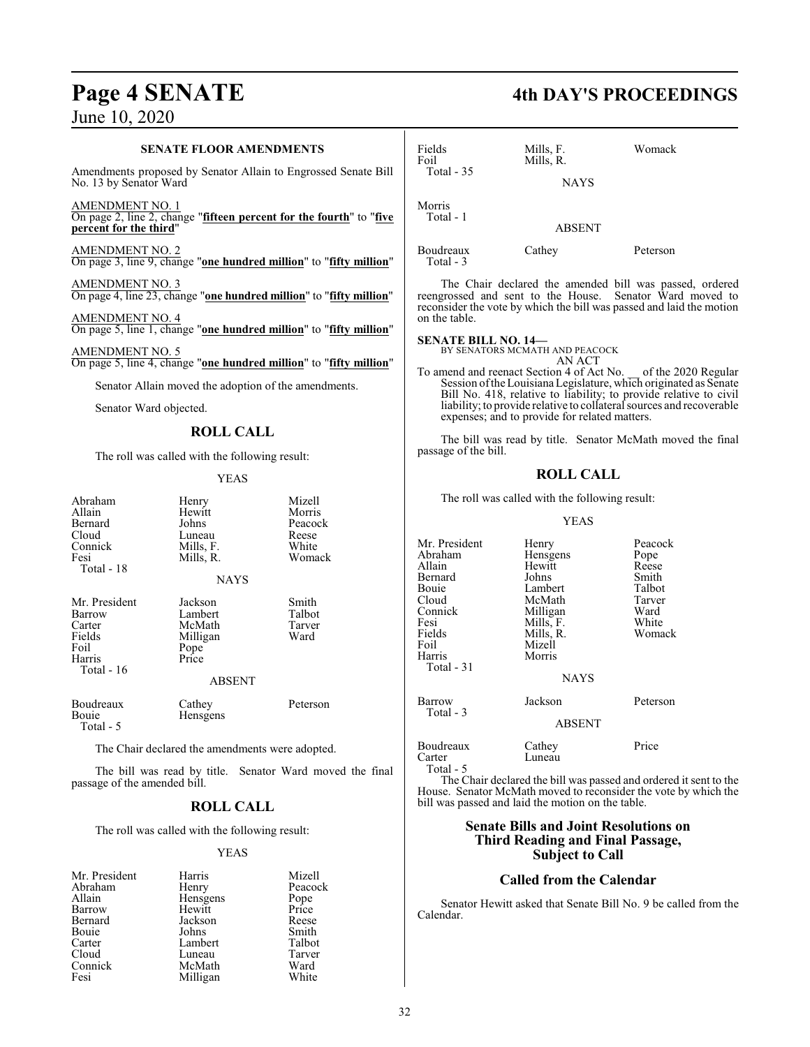#### **SENATE FLOOR AMENDMENTS**

Amendments proposed by Senator Allain to Engrossed Senate Bill No. 13 by Senator Ward

AMENDMENT NO. 1 On page 2, line 2, change "**fifteen percent for the fourth**" to "**five percent for the third**"

AMENDMENT NO. 2 On page 3, line 9, change "**one hundred million**" to "**fifty million**"

AMENDMENT NO. 3 On page 4, line 23, change "**one hundred million**" to "**fifty million**"

AMENDMENT NO. 4 On page 5, line 1, change "**one hundred million**" to "**fifty million**"

AMENDMENT NO. 5 On page 5, line 4, change "**one hundred million**" to "**fifty million**"

Senator Allain moved the adoption of the amendments.

Senator Ward objected.

### **ROLL CALL**

The roll was called with the following result:

#### YEAS

| Abraham<br>Allain<br>Bernard<br>Cloud<br>Connick<br>Fesi<br>Total - 18        | Henry<br>Hewitt<br>Johns<br>Luneau<br>Mills, F.<br>Mills, R.<br><b>NAYS</b> | Mizell<br>Morris<br>Peacock<br>Reese<br>White<br>Womack |
|-------------------------------------------------------------------------------|-----------------------------------------------------------------------------|---------------------------------------------------------|
| Mr. President<br>Barrow<br>Carter<br>Fields<br>Foil<br>Harris<br>Total - $16$ | Jackson<br>Lambert<br>McMath<br>Milligan<br>Pope<br>Price<br><b>ABSENT</b>  | Smith<br>Talbot<br>Tarver<br>Ward                       |
| Boudreaux<br>Bouie<br>Total - 5                                               | Cathey<br>Hensgens                                                          | Peterson                                                |

The Chair declared the amendments were adopted.

The bill was read by title. Senator Ward moved the final passage of the amended bill.

### **ROLL CALL**

The roll was called with the following result:

#### YEAS

| Mr. President | Harris   | Mizell        |
|---------------|----------|---------------|
| Abraham       | Henry    | Peacock       |
| Allain        | Hensgens | Pope<br>Price |
| Barrow        | Hewitt   |               |
| Bernard       | Jackson  | Reese         |
| Bouie         | Johns    | Smith         |
| Carter        | Lambert  | Talbot        |
| Cloud         | Luneau   | Tarver        |
| Connick       | McMath   | Ward          |
| Fesi          | Milligan | White         |

## **Page 4 SENATE 4th DAY'S PROCEEDINGS**

| Fields<br>Foil<br>Total $-35$ | Mills, F.<br>Mills, R.<br><b>NAYS</b> | Womack                                              |
|-------------------------------|---------------------------------------|-----------------------------------------------------|
| Morris<br>Total - 1           | <b>ABSENT</b>                         |                                                     |
| Boudreaux<br>Total - 3        | Cathey                                | Peterson                                            |
|                               |                                       | The Chair declared the emended hill was necessarily |

The Chair declared the amended bill was passed, ordered reengrossed and sent to the House. Senator Ward moved to reconsider the vote by which the bill was passed and laid the motion on the table.

## **SENATE BILL NO. 14—** BY SENATORS MCMATH AND PEACOCK

AN ACT

To amend and reenact Section 4 of Act No. \_\_ of the 2020 Regular Session of the Louisiana Legislature, which originated as Senate Bill No. 418, relative to liability; to provide relative to civil liability; to provide relative to collateral sources and recoverable expenses; and to provide for related matters.

The bill was read by title. Senator McMath moved the final passage of the bill.

#### **ROLL CALL**

The roll was called with the following result:

#### YEAS

| Mr. President<br>Abraham<br>Allain<br>Bernard<br>Bouie<br>Cloud<br>Connick<br>Fesi<br>Fields<br>Foil<br>Harris<br>Total - 31 | Henry<br>Hensgens<br>Hewitt<br>Johns<br>Lambert<br>McMath<br>Milligan<br>Mills, F.<br>Mills, R.<br>Mizell<br>Morris<br><b>NAYS</b> | Peacock<br>Pope<br>Reese<br>Smith<br>Talbot<br>Tarver<br>Ward<br>White<br>Womack |
|------------------------------------------------------------------------------------------------------------------------------|------------------------------------------------------------------------------------------------------------------------------------|----------------------------------------------------------------------------------|
| Barrow<br>Total - 3                                                                                                          | Jackson<br><b>ABSENT</b>                                                                                                           | Peterson                                                                         |
| Boudreaux<br>Carter<br>Total - 5                                                                                             | Cathey<br>Luneau                                                                                                                   | Price                                                                            |

The Chair declared the bill was passed and ordered it sent to the House. Senator McMath moved to reconsider the vote by which the bill was passed and laid the motion on the table.

#### **Senate Bills and Joint Resolutions on Third Reading and Final Passage, Subject to Call**

#### **Called from the Calendar**

Senator Hewitt asked that Senate Bill No. 9 be called from the Calendar.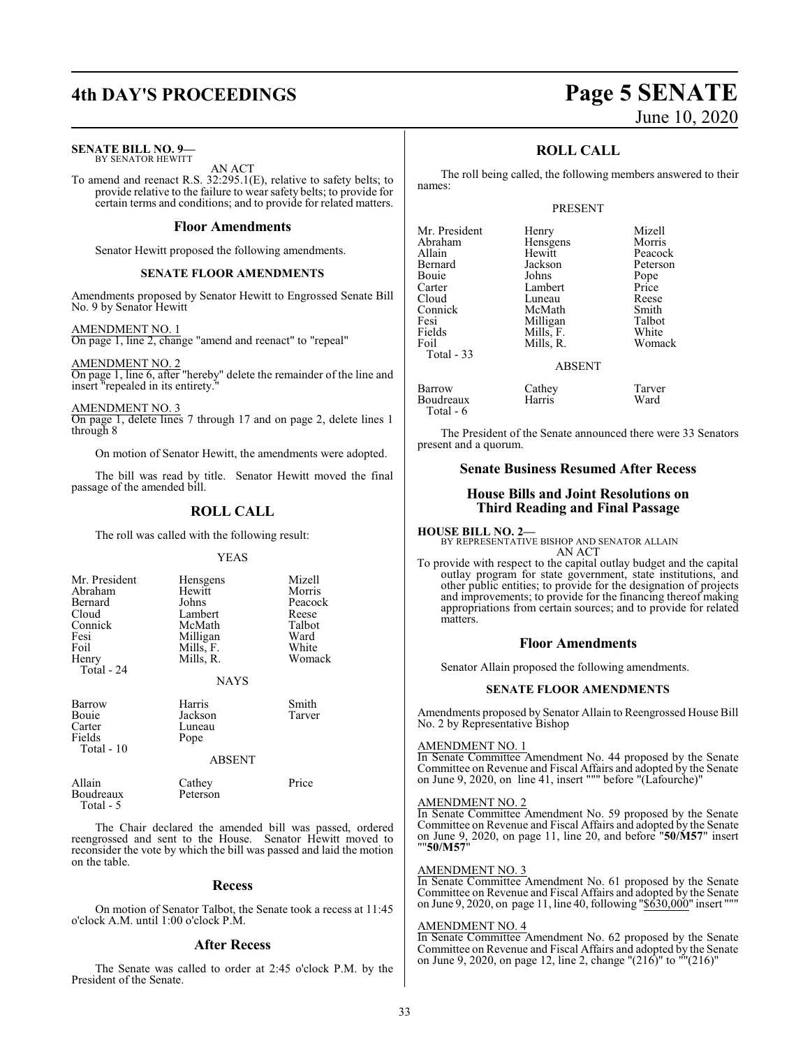## **4th DAY'S PROCEEDINGS Page 5 SENATE**

**SENATE BILL NO. 9—** BY SENATOR HEWITT

AN ACT

To amend and reenact R.S. 32:295.1(E), relative to safety belts; to provide relative to the failure to wear safety belts; to provide for certain terms and conditions; and to provide for related matters.

#### **Floor Amendments**

Senator Hewitt proposed the following amendments.

#### **SENATE FLOOR AMENDMENTS**

Amendments proposed by Senator Hewitt to Engrossed Senate Bill No. 9 by Senator Hewitt

AMENDMENT NO. 1

On page 1, line 2, change "amend and reenact" to "repeal"

AMENDMENT NO. 2 On page 1, line 6, after "hereby" delete the remainder of the line and insert "repealed in its entirety."

AMENDMENT NO. 3 On page 1, delete lines 7 through 17 and on page 2, delete lines 1 through 8

On motion of Senator Hewitt, the amendments were adopted.

The bill was read by title. Senator Hewitt moved the final passage of the amended bill.

### **ROLL CALL**

The roll was called with the following result:

#### YEAS

| Mr. President<br>Abraham<br><b>Bernard</b><br>Cloud<br>Connick<br>Fesi<br>Foil<br>Henry<br>Total - 24 | Hensgens<br>Hewitt<br>Johns<br>Lambert<br>McMath<br>Milligan<br>Mills, F.<br>Mills, R. | Mizell<br>Morris<br>Peacock<br>Reese<br>Talbot<br>Ward<br>White<br>Womack |
|-------------------------------------------------------------------------------------------------------|----------------------------------------------------------------------------------------|---------------------------------------------------------------------------|
|                                                                                                       | <b>NAYS</b>                                                                            |                                                                           |
| <b>Barrow</b><br>Bouie<br>Carter<br>Fields<br>Total - 10                                              | Harris<br>Jackson<br>Luneau<br>Pope<br><b>ABSENT</b>                                   | Smith<br>Tarver                                                           |

| Allain     | Cathey   | Price |
|------------|----------|-------|
| Boudreaux  | Peterson |       |
| Total $-5$ |          |       |

The Chair declared the amended bill was passed, ordered reengrossed and sent to the House. Senator Hewitt moved to reconsider the vote by which the bill was passed and laid the motion on the table.

#### **Recess**

On motion of Senator Talbot, the Senate took a recess at 11:45 o'clock A.M. until 1:00 o'clock P.M.

#### **After Recess**

The Senate was called to order at 2:45 o'clock P.M. by the President of the Senate.

### **ROLL CALL**

The roll being called, the following members answered to their names:

#### PRESENT

| Mr. President                | Henry                  | Mizell          |
|------------------------------|------------------------|-----------------|
| Abraham                      | Hensgens               | Morris          |
| Allain                       | Hewitt                 | Peacock         |
| Bernard                      | Jackson                | Peterson        |
| Bouie                        | Johns                  | Pope            |
| Carter                       | Lambert                | Price           |
| Cloud                        | Luneau                 | Reese           |
| Connick                      | McMath                 | Smith           |
| Fesi                         | Milligan               | Talbot          |
| Fields<br>Foil<br>Total - 33 | Mills, F.<br>Mills, R. | White<br>Womack |
|                              | <b>ABSENT</b>          |                 |
| Barrow                       | Cathey                 | Tarver          |
| Boudreaux                    | Harris                 | Ward            |

The President of the Senate announced there were 33 Senators present and a quorum.

#### **Senate Business Resumed After Recess**

#### **House Bills and Joint Resolutions on Third Reading and Final Passage**

#### **HOUSE BILL NO. 2—**

**Boudreaux** Total - 6

BY REPRESENTATIVE BISHOP AND SENATOR ALLAIN AN ACT

To provide with respect to the capital outlay budget and the capital outlay program for state government, state institutions, and other public entities; to provide for the designation of projects and improvements; to provide for the financing thereof making appropriations from certain sources; and to provide for related matters.

#### **Floor Amendments**

Senator Allain proposed the following amendments.

#### **SENATE FLOOR AMENDMENTS**

Amendments proposed by Senator Allain to Reengrossed House Bill No. 2 by Representative Bishop

#### AMENDMENT NO. 1

In Senate Committee Amendment No. 44 proposed by the Senate Committee on Revenue and Fiscal Affairs and adopted by the Senate on June 9, 2020, on line 41, insert """ before "(Lafourche)"

#### AMENDMENT NO. 2

In Senate Committee Amendment No. 59 proposed by the Senate Committee on Revenue and Fiscal Affairs and adopted by the Senate on June 9, 2020, on page 11, line 20, and before "**50/M57**" insert ""**50/M57**"

#### AMENDMENT NO. 3

In Senate Committee Amendment No. 61 proposed by the Senate Committee on Revenue and Fiscal Affairs and adopted by the Senate on June 9, 2020, on page 11, line 40, following "\$630,000" insert """

#### AMENDMENT NO. 4

In Senate Committee Amendment No. 62 proposed by the Senate Committee on Revenue and Fiscal Affairs and adopted by the Senate on June 9, 2020, on page 12, line 2, change "(216)" to ""(216)"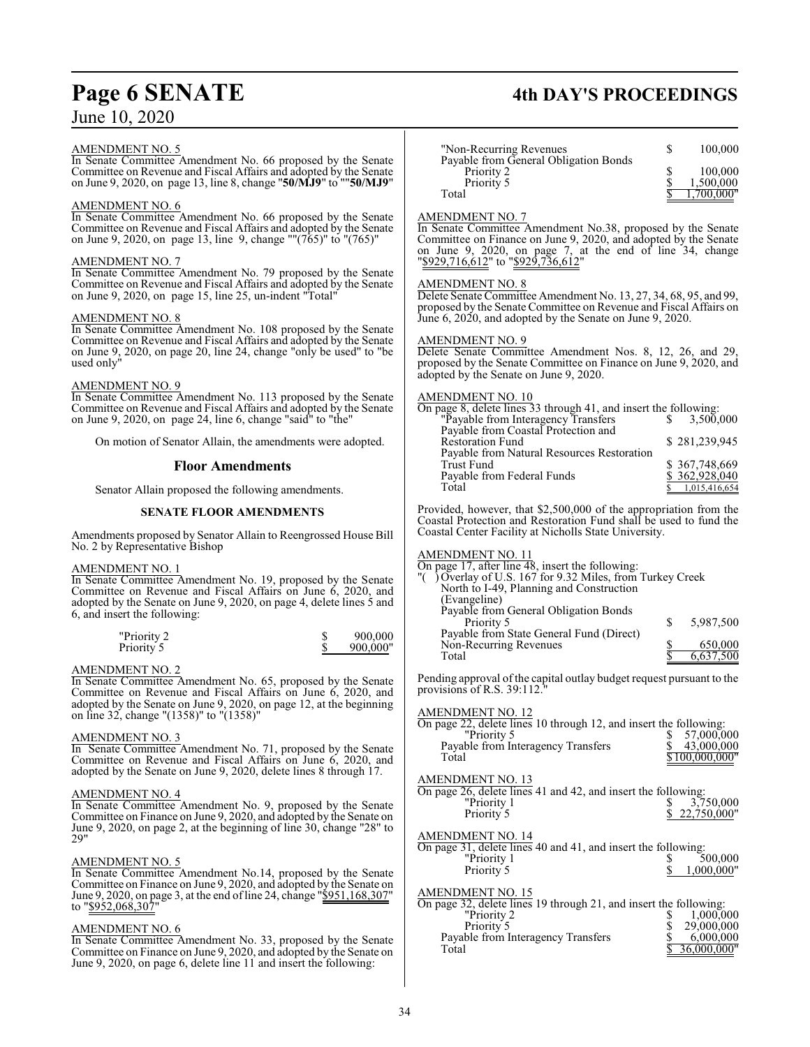#### AMENDMENT NO. 5

In Senate Committee Amendment No. 66 proposed by the Senate Committee on Revenue and Fiscal Affairs and adopted by the Senate on June 9, 2020, on page 13, line 8, change "**50/MJ9**" to ""**50/MJ9**"

#### AMENDMENT NO. 6

In Senate Committee Amendment No. 66 proposed by the Senate Committee on Revenue and Fiscal Affairs and adopted by the Senate on June 9, 2020, on page 13, line 9, change ""(765)" to "(765)"

#### AMENDMENT NO. 7

In Senate Committee Amendment No. 79 proposed by the Senate Committee on Revenue and Fiscal Affairs and adopted by the Senate on June 9, 2020, on page 15, line 25, un-indent "Total"

#### AMENDMENT NO. 8

In Senate Committee Amendment No. 108 proposed by the Senate Committee on Revenue and Fiscal Affairs and adopted by the Senate on June 9, 2020, on page 20, line 24, change "only be used" to "be used only"

#### AMENDMENT NO. 9

In Senate Committee Amendment No. 113 proposed by the Senate Committee on Revenue and Fiscal Affairs and adopted by the Senate on June 9, 2020, on page 24, line 6, change "said" to "the"

On motion of Senator Allain, the amendments were adopted.

#### **Floor Amendments**

Senator Allain proposed the following amendments.

#### **SENATE FLOOR AMENDMENTS**

Amendments proposed by Senator Allain to Reengrossed House Bill No. 2 by Representative Bishop

AMENDMENT NO. 1

In Senate Committee Amendment No. 19, proposed by the Senate Committee on Revenue and Fiscal Affairs on June 6, 2020, and adopted by the Senate on June 9, 2020, on page 4, delete lines 5 and 6, and insert the following:

| "Priority 2 | 900,000  |
|-------------|----------|
| Priority 5  | 900,000" |

#### AMENDMENT NO. 2

In Senate Committee Amendment No. 65, proposed by the Senate Committee on Revenue and Fiscal Affairs on June 6, 2020, and adopted by the Senate on June 9, 2020, on page 12, at the beginning on line 32, change "(1358)" to "(1358)"

#### AMENDMENT NO. 3

In Senate Committee Amendment No. 71, proposed by the Senate Committee on Revenue and Fiscal Affairs on June 6, 2020, and adopted by the Senate on June 9, 2020, delete lines 8 through 17.

#### AMENDMENT NO. 4

In Senate Committee Amendment No. 9, proposed by the Senate Committee on Finance on June 9, 2020, and adopted by the Senate on June 9, 2020, on page 2, at the beginning of line 30, change "28" to 29"

#### AMENDMENT NO. 5

In Senate Committee Amendment No.14, proposed by the Senate Committee on Finance on June 9, 2020, and adopted by the Senate on June 9, 2020, on page 3, at the end of line 24, change "\$951,168,307" to "\$952,068,307

#### AMENDMENT NO. 6

In Senate Committee Amendment No. 33, proposed by the Senate Committee on Finance on June 9, 2020, and adopted by the Senate on June 9, 2020, on page 6, delete line 11 and insert the following:

## **Page 6 SENATE 4th DAY'S PROCEEDINGS**

| "Non-Recurring Revenues"                                          | 100,000              |
|-------------------------------------------------------------------|----------------------|
| Payable from General Obligation Bonds<br>Priority 2<br>Priority 5 | 100,000<br>1,500,000 |
| Total                                                             |                      |

#### AMENDMENT NO. 7

In Senate Committee Amendment No.38, proposed by the Senate Committee on Finance on June 9, 2020, and adopted by the Senate on June 9, 2020, on page 7, at the end of line 34, change "\$929,716,612" to "\$929,736,612"

#### AMENDMENT NO. 8

Delete Senate Committee Amendment No. 13, 27, 34, 68, 95, and 99, proposed by the Senate Committee on Revenue and Fiscal Affairs on June 6, 2020, and adopted by the Senate on June 9, 2020.

#### AMENDMENT NO. 9

Delete Senate Committee Amendment Nos. 8, 12, 26, and 29, proposed by the Senate Committee on Finance on June 9, 2020, and adopted by the Senate on June 9, 2020.

#### AMENDMENT NO. 10

| On page 8, delete lines 33 through 41, and insert the following: |  |
|------------------------------------------------------------------|--|
| "Payable from Interagency Transfers"<br>3.500,000                |  |
| Payable from Coastal Protection and                              |  |
| <b>Restoration Fund</b><br>\$281,239,945                         |  |
| Payable from Natural Resources Restoration                       |  |
| \$367,748,669<br><b>Trust Fund</b>                               |  |
| \$362,928,040<br>Payable from Federal Funds                      |  |
| Total<br>1,015,416,654                                           |  |

Provided, however, that \$2,500,000 of the appropriation from the Coastal Protection and Restoration Fund shall be used to fund the Coastal Center Facility at Nicholls State University.

#### AMENDMENT NO. 11

| On page 17, after line 48, insert the following:          |     |           |
|-----------------------------------------------------------|-----|-----------|
| "() Overlay of U.S. 167 for 9.32 Miles, from Turkey Creek |     |           |
| North to I-49, Planning and Construction                  |     |           |
| (Evangeline)                                              |     |           |
| Payable from General Obligation Bonds                     |     |           |
| Priority 5                                                | \$. | 5,987,500 |
| Payable from State General Fund (Direct)                  |     |           |

Pending approval of the capital outlay budget request pursuant to the provisions of R.S. 39:112."

Non-Recurring Revenues  $\frac{$}{\$}$  650,000<br>Total  $\frac{$}{\$}$  6,637,500

6,637,500

#### AMENDMENT NO. 12

| AMENDMENT NO. 12                                                  |                |
|-------------------------------------------------------------------|----------------|
| On page 22, delete lines 10 through 12, and insert the following: |                |
| "Priority 5                                                       | \$57,000,000   |
| Payable from Interagency Transfers                                | 43,000,000     |
| Total                                                             | \$100,000,000" |
|                                                                   |                |

| <b>AMENDMENT NO. 13</b>                                       |               |
|---------------------------------------------------------------|---------------|
| On page 26, delete lines 41 and 42, and insert the following: |               |
| "Priority 1                                                   | \$3,750,000   |
| Priority 5                                                    | \$22,750,000" |
|                                                               |               |

#### AMENDMENT NO. 14

On page 31, delete lines 40 and 41, and insert the following: "Priority 1 \$ 500,000 Priority 5 \$ 1,000,000"

#### AMENDMENT NO. 15

| On page 32, delete lines 19 through 21, and insert the following: |               |
|-------------------------------------------------------------------|---------------|
| "Priority 2                                                       | 1,000,000     |
| Priority 5                                                        | 29,000,000    |
| Payable from Interagency Transfers                                | 6,000,000     |
| Total                                                             | \$36,000,000" |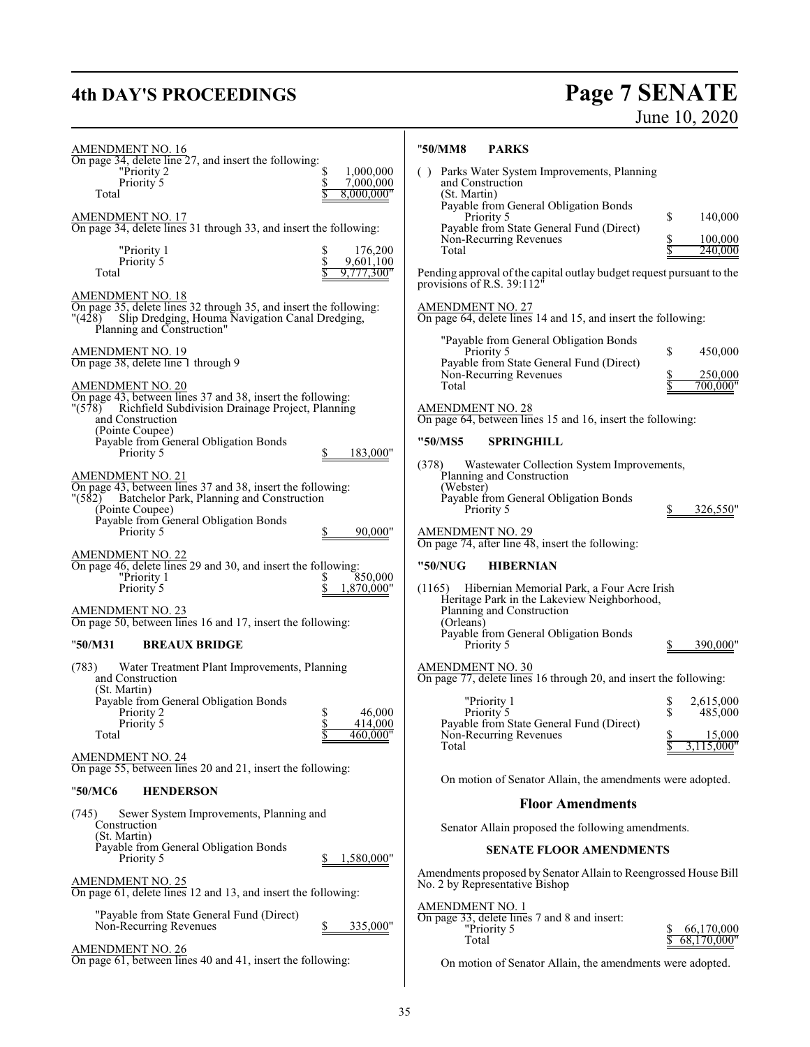## **4th DAY'S PROCEEDINGS**

# Page 7 SENATE<br>June 10, 2020

| AMENDMENT NO. 16                                                                                                                                                                                                                                                                                                | "50/MM8<br><b>PARKS</b>                                                                                                                                                                                                                                                                                                                                              |
|-----------------------------------------------------------------------------------------------------------------------------------------------------------------------------------------------------------------------------------------------------------------------------------------------------------------|----------------------------------------------------------------------------------------------------------------------------------------------------------------------------------------------------------------------------------------------------------------------------------------------------------------------------------------------------------------------|
| On page 34, delete line 27, and insert the following:<br>1,000,000<br>"Priority 2<br>Priority 5<br>7,000,000<br>8,000,000"<br>Total<br><b>AMENDMENT NO. 17</b><br>On page 34, delete lines 31 through 33, and insert the following:<br>"Priority 1<br>176,200<br>Priority 5<br>9,601,100<br>Total<br>9,777,300" | () Parks Water System Improvements, Planning<br>and Construction<br>(St. Martin)<br>Payable from General Obligation Bonds<br>\$<br>140,000<br>Priority 5<br>Payable from State General Fund (Direct)<br>Non-Recurring Revenues<br>100,000<br>Total<br>240,000<br>Pending approval of the capital outlay budget request pursuant to the<br>provisions of R.S. 39:112' |
| AMENDMENT NO. 18<br>On page 35, delete lines 32 through 35, and insert the following:<br>$^{\prime\prime}(428)$<br>Slip Dredging, Houma Navigation Canal Dredging,<br>Planning and Construction"                                                                                                                | <b>AMENDMENT NO. 27</b><br>On page 64, delete lines 14 and 15, and insert the following:                                                                                                                                                                                                                                                                             |
| <b>AMENDMENT NO. 19</b><br>On page 38, delete line 1 through 9<br>AMENDMENT NO. 20<br>On page 43, between lines 37 and 38, insert the following:<br>"(578) Richfield Subdivision Drainage Project, Planning<br>and Construction                                                                                 | "Payable from General Obligation Bonds<br>\$<br>Priority 5<br>450,000<br>Payable from State General Fund (Direct)<br>Non-Recurring Revenues<br>250,000<br>700,000"<br>Total<br><b>AMENDMENT NO. 28</b><br>On page 64, between lines 15 and 16, insert the following:                                                                                                 |
| (Pointe Coupee)<br>Payable from General Obligation Bonds                                                                                                                                                                                                                                                        | "50/MS5<br><b>SPRINGHILL</b>                                                                                                                                                                                                                                                                                                                                         |
| Priority 5<br>183,000"<br><b>AMENDMENT NO. 21</b><br>On page 43, between lines 37 and 38, insert the following:<br>(582)<br>Batchelor Park, Planning and Construction<br>(Pointe Coupee)<br>Payable from General Obligation Bonds<br>Priority 5<br>90,000"                                                      | Wastewater Collection System Improvements,<br>(378)<br>Planning and Construction<br>(Webster)<br>Payable from General Obligation Bonds<br>Priority 5<br>326,550"<br><b>AMENDMENT NO. 29</b><br>On page 74, after line 48, insert the following:                                                                                                                      |
| AMENDMENT NO. 22<br>On page 46, delete lines 29 and 30, and insert the following:<br>"Priority 1<br>850,000<br>Priority 5<br>1,870,000"                                                                                                                                                                         | "50/NUG<br><b>HIBERNIAN</b><br>(1165) Hibernian Memorial Park, a Four Acre Irish<br>Heritage Park in the Lakeview Neighborhood,                                                                                                                                                                                                                                      |
| AMENDMENT NO. 23<br>On page 50, between lines 16 and 17, insert the following:<br>"50/M31<br><b>BREAUX BRIDGE</b>                                                                                                                                                                                               | Planning and Construction<br>(Orleans)<br>Payable from General Obligation Bonds<br>Priority 5<br>390,000"                                                                                                                                                                                                                                                            |
| (783)<br>Water Treatment Plant Improvements, Planning<br>and Construction<br>(St. Martin)<br>Payable from General Obligation Bonds<br>\$<br>46,000<br>Priority 2<br>\$<br>414,000<br>Priority 5<br>460,000"<br>Total                                                                                            | AMENDMENT NO. 30<br>On page 77, delete lines 16 through 20, and insert the following:<br>"Priority 1<br>2,615,000<br>s<br>\$<br>485,000<br>Priority 5<br>Payable from State General Fund (Direct)<br>Non-Recurring Revenues<br>15,000<br>2                                                                                                                           |
| <b>AMENDMENT NO. 24</b><br>On page 55, between lines 20 and 21, insert the following:                                                                                                                                                                                                                           | 3,115,000"<br>Total                                                                                                                                                                                                                                                                                                                                                  |
| "50/MC6<br><b>HENDERSON</b>                                                                                                                                                                                                                                                                                     | On motion of Senator Allain, the amendments were adopted.                                                                                                                                                                                                                                                                                                            |
| Sewer System Improvements, Planning and<br>(745)                                                                                                                                                                                                                                                                | <b>Floor Amendments</b>                                                                                                                                                                                                                                                                                                                                              |
| Construction<br>(St. Martin)                                                                                                                                                                                                                                                                                    | Senator Allain proposed the following amendments.                                                                                                                                                                                                                                                                                                                    |
| Payable from General Obligation Bonds<br>Priority 5<br>1,580,000"                                                                                                                                                                                                                                               | <b>SENATE FLOOR AMENDMENTS</b>                                                                                                                                                                                                                                                                                                                                       |
| AMENDMENT NO. 25<br>On page 61, delete lines 12 and 13, and insert the following:                                                                                                                                                                                                                               | Amendments proposed by Senator Allain to Reengrossed House Bill<br>No. 2 by Representative Bishop                                                                                                                                                                                                                                                                    |
| "Payable from State General Fund (Direct)<br>Non-Recurring Revenues<br>335,000"                                                                                                                                                                                                                                 | <u>AMENDMENT NO. 1</u><br>On page 33, delete lines 7 and 8 and insert:<br>"Priority 5<br>66,170,000<br>Total<br>68,170,000"                                                                                                                                                                                                                                          |
| AMENDMENT NO. 26<br>On page 61, between lines 40 and 41, insert the following:                                                                                                                                                                                                                                  | On motion of Senator Allain, the amendments were adopted.                                                                                                                                                                                                                                                                                                            |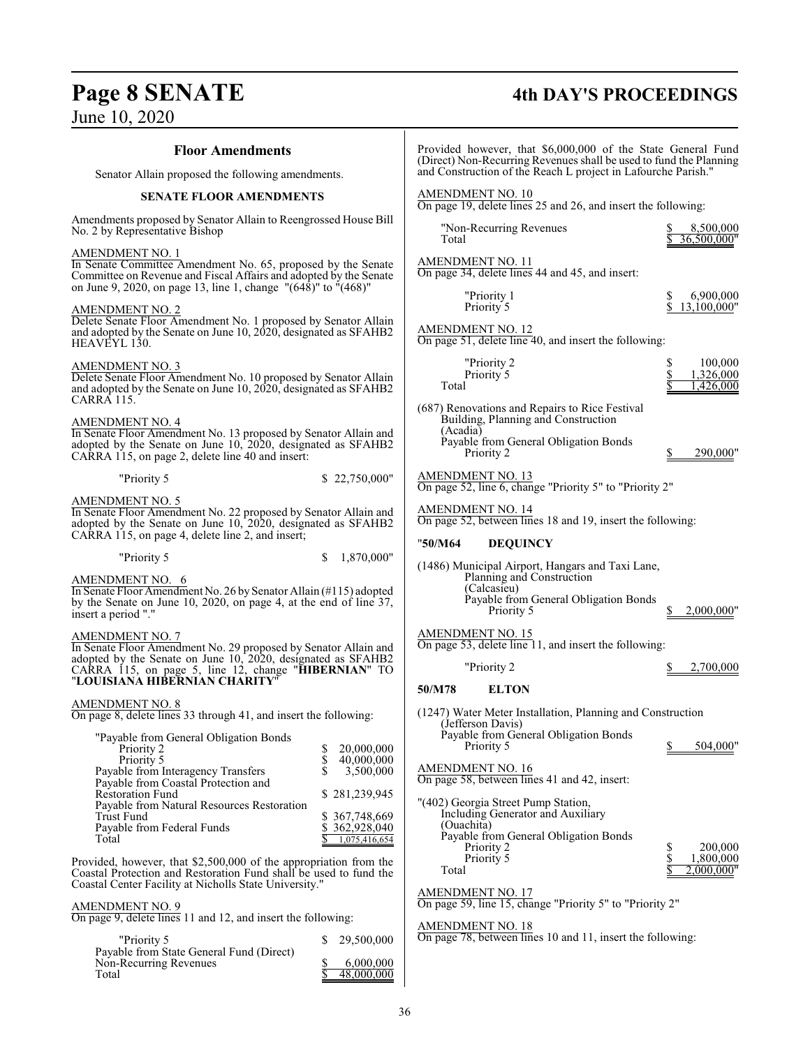Payable from State General Fund (Direct)

Non-Recurring Revenues \$ 6,000,000 Total  $\frac{$}{\$}$  48,000,000

## June 10, 2020

# **Page 8 SENATE 4th DAY'S PROCEEDINGS**

| $50.11$ $0.202$                                                                                                                                                                                                                                                                                                                |                                                                |                                                                                                                                                                      |                                          |
|--------------------------------------------------------------------------------------------------------------------------------------------------------------------------------------------------------------------------------------------------------------------------------------------------------------------------------|----------------------------------------------------------------|----------------------------------------------------------------------------------------------------------------------------------------------------------------------|------------------------------------------|
| <b>Floor Amendments</b>                                                                                                                                                                                                                                                                                                        |                                                                | Provided however, that \$6,000,000 of the State General Fund<br>(Direct) Non-Recurring Revenues shall be used to fund the Planning                                   |                                          |
| Senator Allain proposed the following amendments.                                                                                                                                                                                                                                                                              |                                                                | and Construction of the Reach L project in Lafourche Parish."                                                                                                        |                                          |
| <b>SENATE FLOOR AMENDMENTS</b>                                                                                                                                                                                                                                                                                                 |                                                                | AMENDMENT NO. 10<br>On page 19, delete lines 25 and 26, and insert the following:                                                                                    |                                          |
| Amendments proposed by Senator Allain to Reengrossed House Bill<br>No. 2 by Representative Bishop                                                                                                                                                                                                                              |                                                                | "Non-Recurring Revenues"<br>Total                                                                                                                                    | 8,500,000<br>36,500,000"                 |
| AMENDMENT NO. 1<br>In Senate Committee Amendment No. 65, proposed by the Senate<br>Committee on Revenue and Fiscal Affairs and adopted by the Senate<br>on June 9, 2020, on page 13, line 1, change "(648)" to "(468)"                                                                                                         |                                                                | AMENDMENT NO. 11<br>On page 34, delete lines 44 and 45, and insert:                                                                                                  |                                          |
| AMENDMENT NO. 2<br>Delete Senate Floor Amendment No. 1 proposed by Senator Allain<br>and adopted by the Senate on June 10, 2020, designated as SFAHB2<br>HEAVEYL 130.                                                                                                                                                          |                                                                | "Priority 1<br>Priority 5<br><b>AMENDMENT NO. 12</b><br>On page 51, delete line 40, and insert the following:                                                        | 6,900,000<br>13,100,000"                 |
| AMENDMENT NO. 3<br>Delete Senate Floor Amendment No. 10 proposed by Senator Allain<br>and adopted by the Senate on June 10, 2020, designated as SFAHB2<br>CARRA 115.                                                                                                                                                           |                                                                | "Priority 2<br>Priority 5<br>Total                                                                                                                                   | 100,000<br>1,326,000<br>1,426,000        |
| AMENDMENT NO. 4<br>In Senate Floor Amendment No. 13 proposed by Senator Allain and<br>adopted by the Senate on June 10, 2020, designated as SFAHB2<br>CARRA 115, on page 2, delete line 40 and insert:                                                                                                                         |                                                                | (687) Renovations and Repairs to Rice Festival<br>Building, Planning and Construction<br>(Acadia)<br>Payable from General Obligation Bonds<br>Priority 2             | 290.000"                                 |
| \$22,750,000"<br>"Priority 5                                                                                                                                                                                                                                                                                                   |                                                                | AMENDMENT NO. 13<br>On page 52, line 6, change "Priority 5" to "Priority 2"                                                                                          |                                          |
| AMENDMENT NO. 5<br>In Senate Floor Amendment No. 22 proposed by Senator Allain and<br>adopted by the Senate on June 10, 2020, designated as SFAHB2<br>CARRA 115, on page 4, delete line 2, and insert;                                                                                                                         |                                                                | AMENDMENT NO. 14<br>On page 52, between lines 18 and 19, insert the following:                                                                                       |                                          |
| "Priority 5<br>S                                                                                                                                                                                                                                                                                                               | 1,870,000"                                                     | <b>DEQUINCY</b><br>"50/M64                                                                                                                                           |                                          |
| AMENDMENT NO. 6<br>In Senate Floor Amendment No. 26 by Senator Allain (#115) adopted<br>by the Senate on June 10, 2020, on page 4, at the end of line 37,<br>insert a period "."                                                                                                                                               |                                                                | (1486) Municipal Airport, Hangars and Taxi Lane,<br>Planning and Construction<br>(Calcasieu)<br>Payable from General Obligation Bonds<br>Priority 5                  | 2,000,000"                               |
| AMENDMENT NO. 7<br>In Senate Floor Amendment No. 29 proposed by Senator Allain and<br>adopted by the Senate on June 10, 2020, designated as SFAHB2<br>CARRA 115, on page 5, line 12, change "HIBERNIAN" TO<br>"LOUISIANA HIBERNIAN CHARITY"                                                                                    |                                                                | <b>AMENDMENT NO. 15</b><br>On page 53, delete line 11, and insert the following:<br>"Priority 2                                                                      | 2,700,000                                |
| AMENDMENT NO. 8<br>On page 8, delete lines 33 through 41, and insert the following:                                                                                                                                                                                                                                            |                                                                | 50/M78<br><b>ELTON</b><br>(1247) Water Meter Installation, Planning and Construction                                                                                 |                                          |
| "Payable from General Obligation Bonds<br>Priority 2<br>S<br>\$<br>Priority 5<br>Payable from Interagency Transfers<br>\$<br>Payable from Coastal Protection and                                                                                                                                                               | 20,000,000<br>40,000,000<br>3,500,000                          | (Jefferson Davis)<br>Payable from General Obligation Bonds<br>Priority 5<br>AMENDMENT NO. 16<br>On page 58, between lines 41 and 42, insert:                         | 504,000"                                 |
| <b>Restoration Fund</b><br>Payable from Natural Resources Restoration<br>Trust Fund<br>Payable from Federal Funds<br>Total<br>Provided, however, that \$2,500,000 of the appropriation from the<br>Coastal Protection and Restoration Fund shall be used to fund the<br>Coastal Center Facility at Nicholls State University." | \$281,239,945<br>\$367,748,669<br>362,928,040<br>1,075,416,654 | "(402) Georgia Street Pump Station,<br>Including Generator and Auxiliary<br>(Ouachita)<br>Payable from General Obligation Bonds<br>Priority 2<br>Priority 5<br>Total | 200,000<br>\$<br>1,800,000<br>2,000,000" |
| <b>AMENDMENT NO. 9</b><br>On page 9, delete lines 11 and 12, and insert the following:                                                                                                                                                                                                                                         |                                                                | <b>AMENDMENT NO. 17</b><br>On page 59, line 15, change "Priority 5" to "Priority 2"<br><b>AMENDMENT NO. 18</b>                                                       |                                          |
| "Priority 5<br>\$29,500,000                                                                                                                                                                                                                                                                                                    |                                                                | On page 78, between lines 10 and 11, insert the following:                                                                                                           |                                          |

36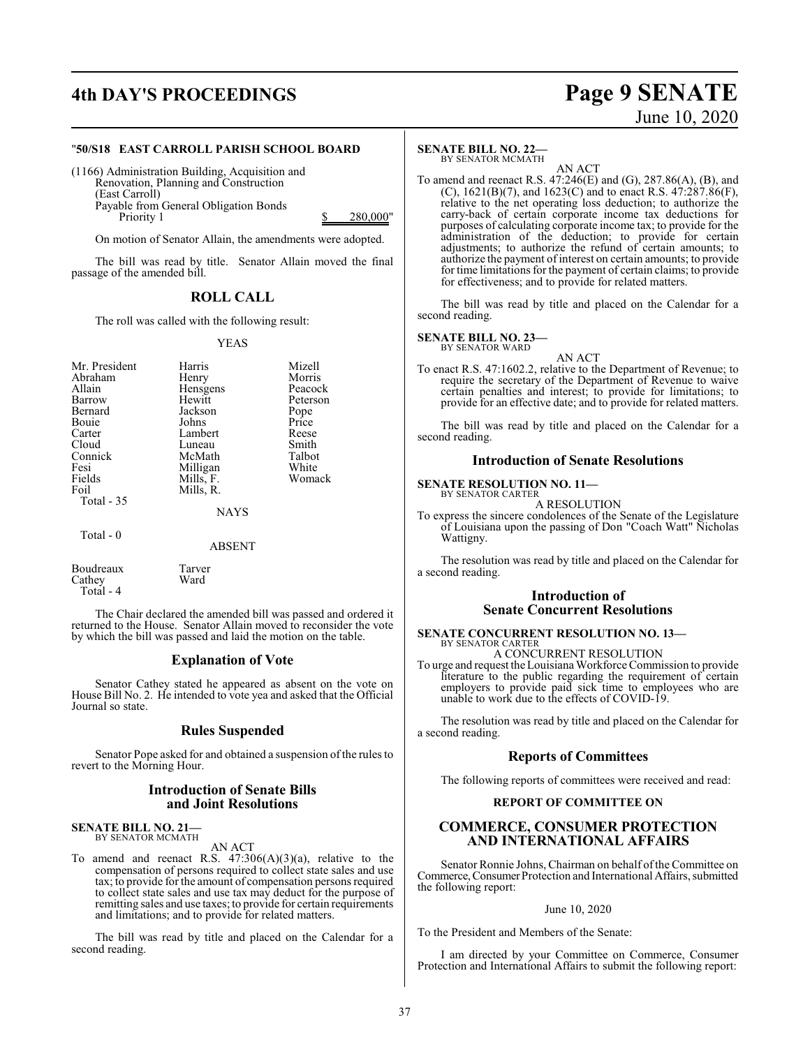## **4th DAY'S PROCEEDINGS Page 9 SENATE**

# June 10, 2020

#### "**50/S18 EAST CARROLL PARISH SCHOOL BOARD**

(1166) Administration Building, Acquisition and Renovation, Planning and Construction (East Carroll) Payable from General Obligation Bonds Priority 1 \$ 280,000"

On motion of Senator Allain, the amendments were adopted.

The bill was read by title. Senator Allain moved the final passage of the amended bill.

#### **ROLL CALL**

The roll was called with the following result:

#### YEAS

| Mr. President<br>Abraham<br>Allain<br>Barrow<br>Bernard<br>Bouie<br>Carter<br>Cloud<br>Connick<br>Fesi<br>Fields<br>Foil<br>Total - 35 | Harris<br>Henry<br>Hensgens<br>Hewitt<br>Jackson<br>Johns<br>Lambert<br>Luneau<br>McMath<br>Milligan<br>Mills, F.<br>Mills, R.<br><b>NAYS</b> | Mizell<br>Morris<br>Peacock<br>Peterson<br>Pope<br>Price<br>Reese<br>Smith<br>Talbot<br>White<br>Womack |
|----------------------------------------------------------------------------------------------------------------------------------------|-----------------------------------------------------------------------------------------------------------------------------------------------|---------------------------------------------------------------------------------------------------------|
| Total $-0$                                                                                                                             | <b>ABSENT</b>                                                                                                                                 |                                                                                                         |

Boudreaux Tarver Cathey Total - 4

The Chair declared the amended bill was passed and ordered it returned to the House. Senator Allain moved to reconsider the vote by which the bill was passed and laid the motion on the table.

#### **Explanation of Vote**

Senator Cathey stated he appeared as absent on the vote on House Bill No. 2. He intended to vote yea and asked that the Official Journal so state.

#### **Rules Suspended**

Senator Pope asked for and obtained a suspension of the rules to revert to the Morning Hour.

#### **Introduction of Senate Bills and Joint Resolutions**

**SENATE BILL NO. 21—** BY SENATOR MCMATH

AN ACT

To amend and reenact R.S.  $47:306(A)(3)(a)$ , relative to the compensation of persons required to collect state sales and use tax; to provide for the amount of compensation persons required to collect state sales and use tax may deduct for the purpose of remitting sales and use taxes; to provide for certain requirements and limitations; and to provide for related matters.

The bill was read by title and placed on the Calendar for a second reading.

#### **SENATE BILL NO. 22—**

BY SENATOR MCMATH

AN ACT To amend and reenact R.S. 47:246(E) and (G), 287.86(A), (B), and (C),  $1621(B)(7)$ , and  $1623(C)$  and to enact R.S.  $47:287.86(F)$ , relative to the net operating loss deduction; to authorize the carry-back of certain corporate income tax deductions for purposes of calculating corporate income tax; to provide for the administration of the deduction; to provide for certain adjustments; to authorize the refund of certain amounts; to authorize the payment of interest on certain amounts; to provide for time limitations for the payment of certain claims; to provide for effectiveness; and to provide for related matters.

The bill was read by title and placed on the Calendar for a second reading.

#### **SENATE BILL NO. 23—**

BY SENATOR WARD

AN ACT To enact R.S. 47:1602.2, relative to the Department of Revenue; to require the secretary of the Department of Revenue to waive certain penalties and interest; to provide for limitations; to provide for an effective date; and to provide for related matters.

The bill was read by title and placed on the Calendar for a second reading.

#### **Introduction of Senate Resolutions**

**SENATE RESOLUTION NO. 11—** BY SENATOR CARTER

A RESOLUTION

To express the sincere condolences of the Senate of the Legislature of Louisiana upon the passing of Don "Coach Watt" Nicholas Wattigny.

The resolution was read by title and placed on the Calendar for a second reading.

#### **Introduction of Senate Concurrent Resolutions**

#### **SENATE CONCURRENT RESOLUTION NO. 13—** BY SENATOR CARTER

A CONCURRENT RESOLUTION

To urge and request the Louisiana Workforce Commission to provide literature to the public regarding the requirement of certain employers to provide paid sick time to employees who are unable to work due to the effects of COVID-19.

The resolution was read by title and placed on the Calendar for a second reading.

#### **Reports of Committees**

The following reports of committees were received and read:

#### **REPORT OF COMMITTEE ON**

#### **COMMERCE, CONSUMER PROTECTION AND INTERNATIONAL AFFAIRS**

Senator Ronnie Johns, Chairman on behalf of the Committee on Commerce, Consumer Protection and International Affairs, submitted the following report:

#### June 10, 2020

To the President and Members of the Senate:

I am directed by your Committee on Commerce, Consumer Protection and International Affairs to submit the following report: